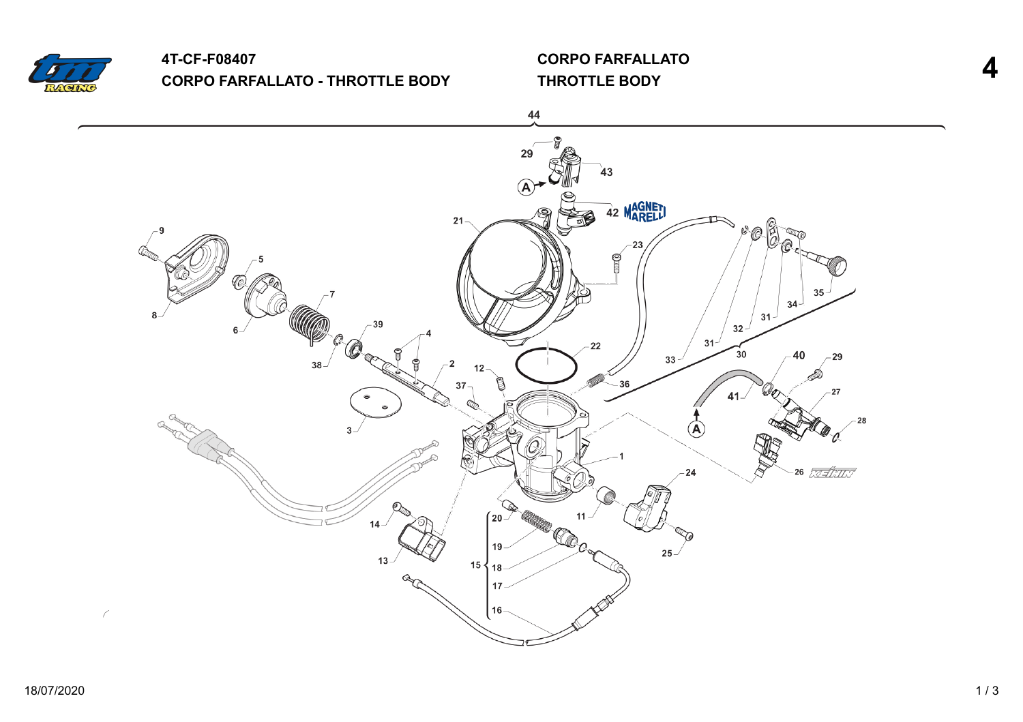

### **4T-CF-F08407 CORPO FARFALLATO - THROTTLE BODY**

**CORPO FARFALLATO THROTTLE BODY 4**

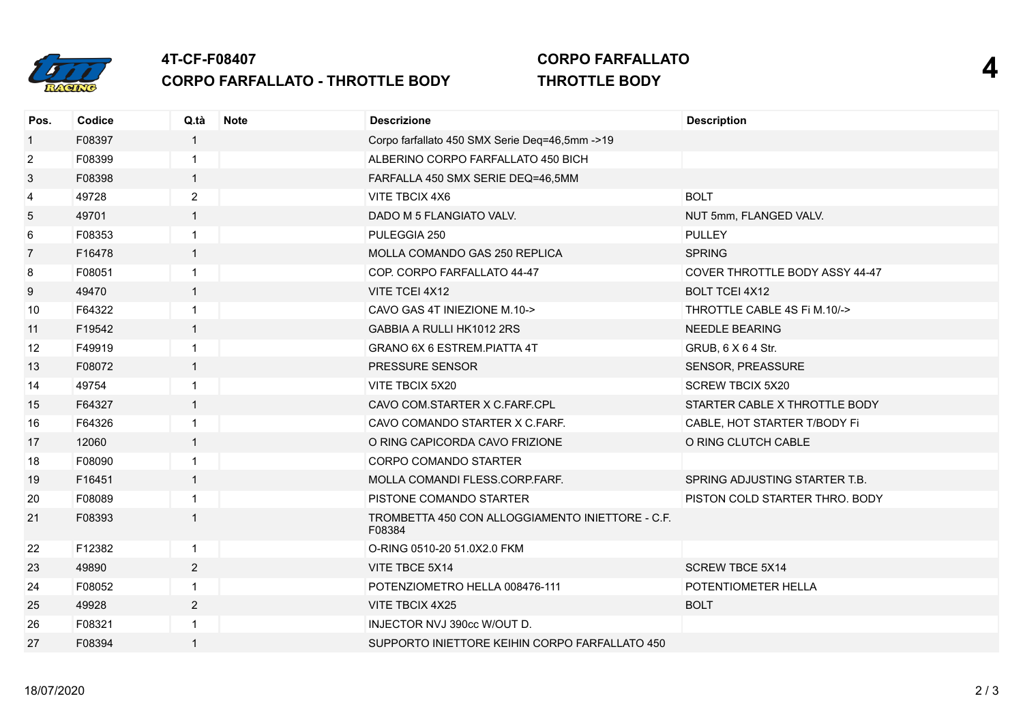

# **4T-CF-F08407 CORPO FARFALLATO - THROTTLE BODY**

#### **CORPO FARFALLATO THROTTLE BODY 4**

| Pos.           | Codice | Q.tà           | <b>Note</b> | <b>Descrizione</b>                                         | <b>Description</b>                    |
|----------------|--------|----------------|-------------|------------------------------------------------------------|---------------------------------------|
| $\mathbf{1}$   | F08397 | $\mathbf{1}$   |             | Corpo farfallato 450 SMX Serie Deq=46,5mm ->19             |                                       |
| $\overline{c}$ | F08399 | $\mathbf{1}$   |             | ALBERINO CORPO FARFALLATO 450 BICH                         |                                       |
| 3              | F08398 | $\overline{1}$ |             | FARFALLA 450 SMX SERIE DEQ=46,5MM                          |                                       |
| 4              | 49728  | $\overline{2}$ |             | VITE TBCIX 4X6                                             | <b>BOLT</b>                           |
| 5              | 49701  | $\overline{1}$ |             | DADO M 5 FLANGIATO VALV.                                   | NUT 5mm, FLANGED VALV.                |
| 6              | F08353 | $\mathbf{1}$   |             | PULEGGIA 250                                               | <b>PULLEY</b>                         |
| 7              | F16478 | $\mathbf{1}$   |             | MOLLA COMANDO GAS 250 REPLICA                              | <b>SPRING</b>                         |
| 8              | F08051 | $\mathbf{1}$   |             | COP. CORPO FARFALLATO 44-47                                | <b>COVER THROTTLE BODY ASSY 44-47</b> |
| 9              | 49470  | $\mathbf{1}$   |             | VITE TCEI 4X12                                             | <b>BOLT TCEI 4X12</b>                 |
| 10             | F64322 | $\overline{1}$ |             | CAVO GAS 4T INIEZIONE M.10->                               | THROTTLE CABLE 4S Fi M.10/->          |
| 11             | F19542 | $\mathbf{1}$   |             | GABBIA A RULLI HK1012 2RS                                  | <b>NEEDLE BEARING</b>                 |
| 12             | F49919 | $\mathbf{1}$   |             | GRANO 6X 6 ESTREM. PIATTA 4T                               | GRUB, 6 X 6 4 Str.                    |
| 13             | F08072 | $\mathbf{1}$   |             | PRESSURE SENSOR                                            | SENSOR, PREASSURE                     |
| 14             | 49754  | $\mathbf{1}$   |             | VITE TBCIX 5X20                                            | <b>SCREW TBCIX 5X20</b>               |
| 15             | F64327 | $\overline{1}$ |             | CAVO COM.STARTER X C.FARF.CPL                              | STARTER CABLE X THROTTLE BODY         |
| 16             | F64326 | $\mathbf{1}$   |             | CAVO COMANDO STARTER X C.FARF.                             | CABLE, HOT STARTER T/BODY Fi          |
| 17             | 12060  | $\mathbf{1}$   |             | O RING CAPICORDA CAVO FRIZIONE                             | O RING CLUTCH CABLE                   |
| 18             | F08090 | $\mathbf{1}$   |             | CORPO COMANDO STARTER                                      |                                       |
| 19             | F16451 | $\mathbf{1}$   |             | MOLLA COMANDI FLESS.CORP.FARF.                             | SPRING ADJUSTING STARTER T.B.         |
| 20             | F08089 | $\mathbf{1}$   |             | PISTONE COMANDO STARTER                                    | PISTON COLD STARTER THRO. BODY        |
| 21             | F08393 | $\mathbf{1}$   |             | TROMBETTA 450 CON ALLOGGIAMENTO INIETTORE - C.F.<br>F08384 |                                       |
| 22             | F12382 | $\mathbf{1}$   |             | O-RING 0510-20 51.0X2.0 FKM                                |                                       |
| 23             | 49890  | $\overline{2}$ |             | VITE TBCE 5X14                                             | <b>SCREW TBCE 5X14</b>                |
| 24             | F08052 | $\mathbf{1}$   |             | POTENZIOMETRO HELLA 008476-111                             | POTENTIOMETER HELLA                   |
| 25             | 49928  | $\overline{2}$ |             | VITE TBCIX 4X25                                            | <b>BOLT</b>                           |
| 26             | F08321 | $\overline{1}$ |             | INJECTOR NVJ 390cc W/OUT D.                                |                                       |
| 27             | F08394 | $\mathbf{1}$   |             | SUPPORTO INIETTORE KEIHIN CORPO FARFALLATO 450             |                                       |